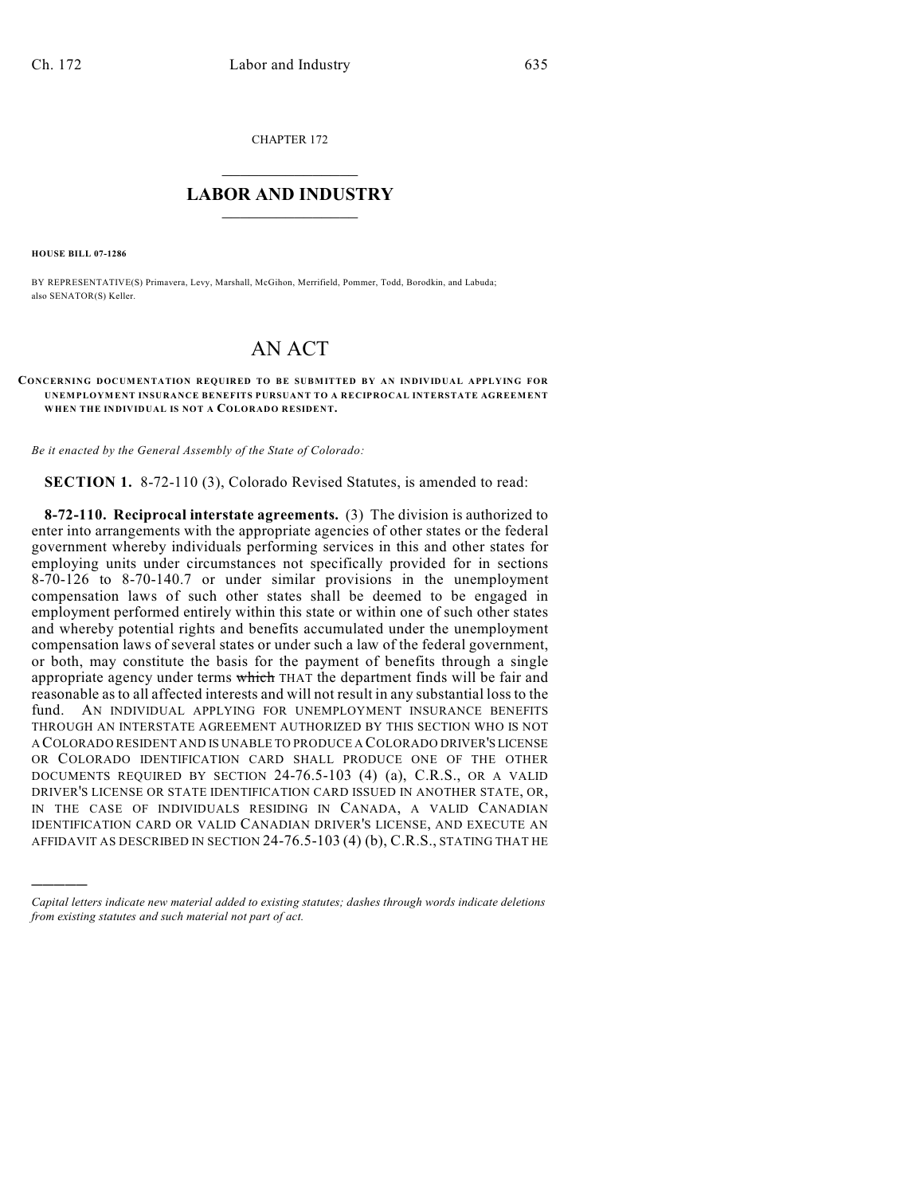CHAPTER 172

## $\mathcal{L}_\text{max}$  . The set of the set of the set of the set of the set of the set of the set of the set of the set of the set of the set of the set of the set of the set of the set of the set of the set of the set of the set **LABOR AND INDUSTRY**  $\frac{1}{\sqrt{2}}$  ,  $\frac{1}{\sqrt{2}}$  ,  $\frac{1}{\sqrt{2}}$  ,  $\frac{1}{\sqrt{2}}$  ,  $\frac{1}{\sqrt{2}}$  ,  $\frac{1}{\sqrt{2}}$

**HOUSE BILL 07-1286**

)))))

BY REPRESENTATIVE(S) Primavera, Levy, Marshall, McGihon, Merrifield, Pommer, Todd, Borodkin, and Labuda; also SENATOR(S) Keller.

## AN ACT

## **CONCERNING DOCUMENTATION REQUIRED TO BE SUBMITTED BY AN INDIVIDUAL APPLYING FOR UNEMPLOYMENT INSURANCE BENEFITS PURSUANT TO A RECIPROCAL INTERSTATE AGREEMENT WHEN THE INDIVIDUAL IS NOT A COLORADO RESIDENT.**

*Be it enacted by the General Assembly of the State of Colorado:*

**SECTION 1.** 8-72-110 (3), Colorado Revised Statutes, is amended to read:

**8-72-110. Reciprocal interstate agreements.** (3) The division is authorized to enter into arrangements with the appropriate agencies of other states or the federal government whereby individuals performing services in this and other states for employing units under circumstances not specifically provided for in sections 8-70-126 to 8-70-140.7 or under similar provisions in the unemployment compensation laws of such other states shall be deemed to be engaged in employment performed entirely within this state or within one of such other states and whereby potential rights and benefits accumulated under the unemployment compensation laws of several states or under such a law of the federal government, or both, may constitute the basis for the payment of benefits through a single appropriate agency under terms which THAT the department finds will be fair and reasonable as to all affected interests and will not result in any substantial loss to the fund. AN INDIVIDUAL APPLYING FOR UNEMPLOYMENT INSURANCE BENEFITS THROUGH AN INTERSTATE AGREEMENT AUTHORIZED BY THIS SECTION WHO IS NOT A COLORADO RESIDENT AND IS UNABLE TO PRODUCE A COLORADO DRIVER'S LICENSE OR COLORADO IDENTIFICATION CARD SHALL PRODUCE ONE OF THE OTHER DOCUMENTS REQUIRED BY SECTION 24-76.5-103 (4) (a), C.R.S., OR A VALID DRIVER'S LICENSE OR STATE IDENTIFICATION CARD ISSUED IN ANOTHER STATE, OR, IN THE CASE OF INDIVIDUALS RESIDING IN CANADA, A VALID CANADIAN IDENTIFICATION CARD OR VALID CANADIAN DRIVER'S LICENSE, AND EXECUTE AN AFFIDAVIT AS DESCRIBED IN SECTION 24-76.5-103 (4) (b), C.R.S., STATING THAT HE

*Capital letters indicate new material added to existing statutes; dashes through words indicate deletions from existing statutes and such material not part of act.*